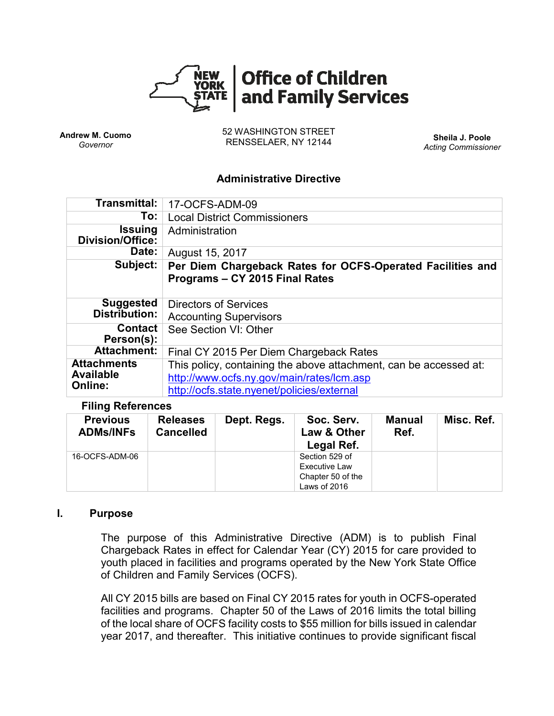

**Andrew M. Cuomo** *Governor*

52 WASHINGTON STREET RENSSELAER, NY 12144 **Sheila J. Poole**

*Acting Commissioner*

#### **Administrative Directive**

| Transmittal:                                      | 17-OCFS-ADM-09                                                                                                                                               |
|---------------------------------------------------|--------------------------------------------------------------------------------------------------------------------------------------------------------------|
| To:                                               | <b>Local District Commissioners</b>                                                                                                                          |
| <b>Issuing</b><br>Division/Office:                | Administration                                                                                                                                               |
| Date:                                             | August 15, 2017                                                                                                                                              |
| Subject:                                          | Per Diem Chargeback Rates for OCFS-Operated Facilities and<br>Programs - CY 2015 Final Rates                                                                 |
| <b>Suggested</b><br>Distribution:                 | Directors of Services<br><b>Accounting Supervisors</b>                                                                                                       |
| <b>Contact</b><br>Person(s):                      | See Section VI: Other                                                                                                                                        |
| <b>Attachment:</b>                                | Final CY 2015 Per Diem Chargeback Rates                                                                                                                      |
| <b>Attachments</b><br><b>Available</b><br>Online: | This policy, containing the above attachment, can be accessed at:<br>http://www.ocfs.ny.gov/main/rates/lcm.asp<br>http://ocfs.state.nyenet/policies/external |

#### **Filing References**

| <b>Previous</b><br><b>ADMs/INFs</b> | <b>Releases</b><br><b>Cancelled</b> | Dept. Regs. | Soc. Serv.<br>Law & Other<br>Legal Ref.                              | Manual<br>Ref. | Misc. Ref. |
|-------------------------------------|-------------------------------------|-------------|----------------------------------------------------------------------|----------------|------------|
| 16-OCFS-ADM-06                      |                                     |             | Section 529 of<br>Executive Law<br>Chapter 50 of the<br>Laws of 2016 |                |            |

#### **I. Purpose**

The purpose of this Administrative Directive (ADM) is to publish Final Chargeback Rates in effect for Calendar Year (CY) 2015 for care provided to youth placed in facilities and programs operated by the New York State Office of Children and Family Services (OCFS).

All CY 2015 bills are based on Final CY 2015 rates for youth in OCFS-operated facilities and programs. Chapter 50 of the Laws of 2016 limits the total billing of the local share of OCFS facility costs to \$55 million for bills issued in calendar year 2017, and thereafter. This initiative continues to provide significant fiscal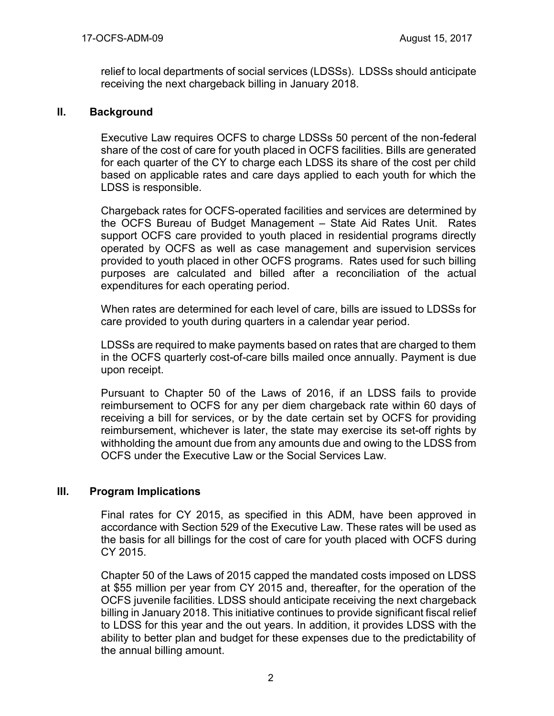relief to local departments of social services (LDSSs). LDSSs should anticipate receiving the next chargeback billing in January 2018.

### **II. Background**

Executive Law requires OCFS to charge LDSSs 50 percent of the non-federal share of the cost of care for youth placed in OCFS facilities. Bills are generated for each quarter of the CY to charge each LDSS its share of the cost per child based on applicable rates and care days applied to each youth for which the LDSS is responsible.

Chargeback rates for OCFS-operated facilities and services are determined by the OCFS Bureau of Budget Management – State Aid Rates Unit. Rates support OCFS care provided to youth placed in residential programs directly operated by OCFS as well as case management and supervision services provided to youth placed in other OCFS programs. Rates used for such billing purposes are calculated and billed after a reconciliation of the actual expenditures for each operating period.

When rates are determined for each level of care, bills are issued to LDSSs for care provided to youth during quarters in a calendar year period.

LDSSs are required to make payments based on rates that are charged to them in the OCFS quarterly cost-of-care bills mailed once annually. Payment is due upon receipt.

Pursuant to Chapter 50 of the Laws of 2016, if an LDSS fails to provide reimbursement to OCFS for any per diem chargeback rate within 60 days of receiving a bill for services, or by the date certain set by OCFS for providing reimbursement, whichever is later, the state may exercise its set-off rights by withholding the amount due from any amounts due and owing to the LDSS from OCFS under the Executive Law or the Social Services Law.

### **III. Program Implications**

Final rates for CY 2015, as specified in this ADM, have been approved in accordance with Section 529 of the Executive Law. These rates will be used as the basis for all billings for the cost of care for youth placed with OCFS during CY 2015.

Chapter 50 of the Laws of 2015 capped the mandated costs imposed on LDSS at \$55 million per year from CY 2015 and, thereafter, for the operation of the OCFS juvenile facilities. LDSS should anticipate receiving the next chargeback billing in January 2018. This initiative continues to provide significant fiscal relief to LDSS for this year and the out years. In addition, it provides LDSS with the ability to better plan and budget for these expenses due to the predictability of the annual billing amount.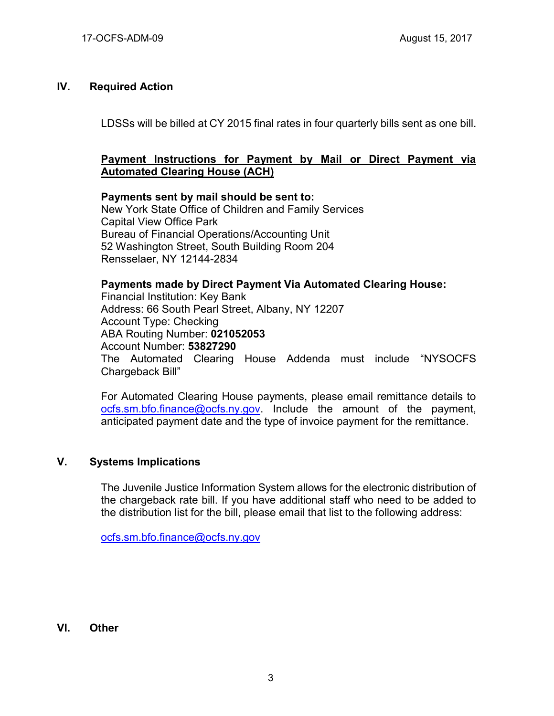## **IV. Required Action**

LDSSs will be billed at CY 2015 final rates in four quarterly bills sent as one bill.

### **Payment Instructions for Payment by Mail or Direct Payment via Automated Clearing House (ACH)**

### **Payments sent by mail should be sent to:** New York State Office of Children and Family Services Capital View Office Park Bureau of Financial Operations/Accounting Unit 52 Washington Street, South Building Room 204 Rensselaer, NY 12144-2834

**Payments made by Direct Payment Via Automated Clearing House:** Financial Institution: Key Bank Address: 66 South Pearl Street, Albany, NY 12207 Account Type: Checking ABA Routing Number: **021052053** Account Number: **53827290** The Automated Clearing House Addenda must include "NYSOCFS Chargeback Bill"

For Automated Clearing House payments, please email remittance details to [ocfs.sm.bfo.finance@ocfs.ny.gov.](mailto:ocfs.sm.bfo.finance@ocfs.ny.gov) Include the amount of the payment, anticipated payment date and the type of invoice payment for the remittance.

### **V. Systems Implications**

The Juvenile Justice Information System allows for the electronic distribution of the chargeback rate bill. If you have additional staff who need to be added to the distribution list for the bill, please email that list to the following address:

[ocfs.sm.bfo.finance@ocfs.ny.gov](mailto:ocfs.sm.bfo.finance@ocfs.ny.gov)

### **VI. Other**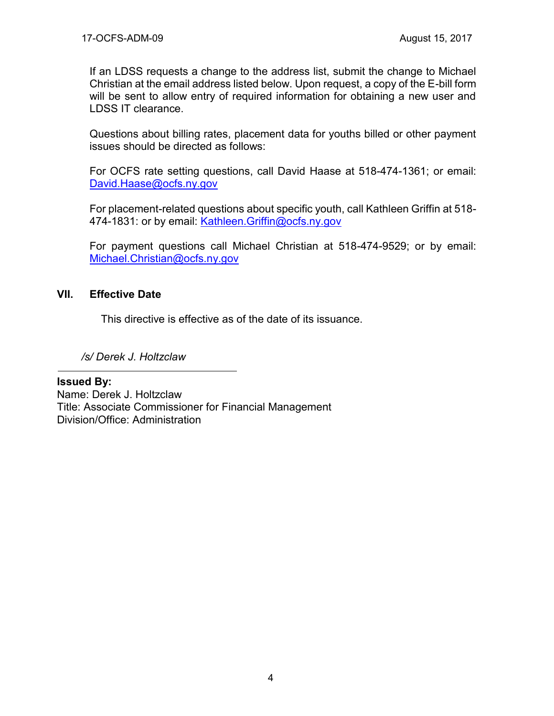If an LDSS requests a change to the address list, submit the change to Michael Christian at the email address listed below. Upon request, a copy of the E-bill form will be sent to allow entry of required information for obtaining a new user and LDSS IT clearance.

Questions about billing rates, placement data for youths billed or other payment issues should be directed as follows:

For OCFS rate setting questions, call David Haase at 518-474-1361; or email: David.Haase@ocfs.ny.gov

For placement-related questions about specific youth, call Kathleen Griffin at 518- 474-1831: or by email: Kathleen.Griffin@ocfs.ny.gov

For payment questions call Michael Christian at 518-474-9529; or by email: [Michael.Christian@ocfs.ny.gov](mailto:Michael.Christian@ocfs.ny.gov)

## **VII. Effective Date**

This directive is effective as of the date of its issuance.

*/s/ Derek J. Holtzclaw*

### **Issued By:**

Name: Derek J. Holtzclaw Title: Associate Commissioner for Financial Management Division/Office: Administration